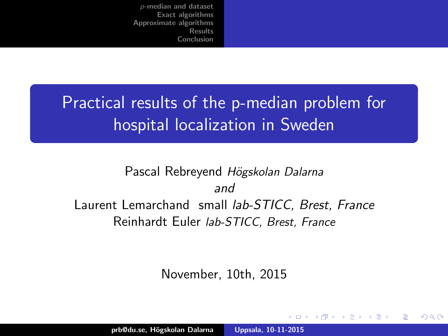<span id="page-0-0"></span>Practical results of the p-median problem for hospital localization in Sweden

#### Pascal Rebreyend Högskolan Dalarna and Laurent Lemarchand small lab-STICC, Brest, France Reinhardt Euler lab-STICC, Brest, France

November, 10th, 2015

 $4.17 \times$ 

 $\left\{ \begin{array}{ccc} -4 & -2 & -1 \\ -2 & -1 & -1 \end{array} \right.$ 

へのへ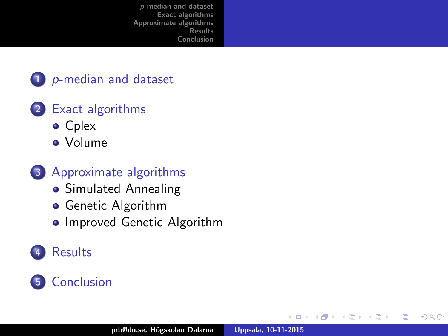

#### 2 [Exact algorithms](#page-7-0)

- **•** [Cplex](#page-9-0)
- [Volume](#page-11-0)
- 3 [Approximate algorithms](#page-12-0)
	- [Simulated Annealing](#page-13-0)
	- **•** [Genetic Algorithm](#page-14-0)
	- [Improved Genetic Algorithm](#page-16-0)

### **[Results](#page-17-0)**

#### 5 [Conclusion](#page-20-0)

4 0 F

∢ @→

 $2Q$ 

重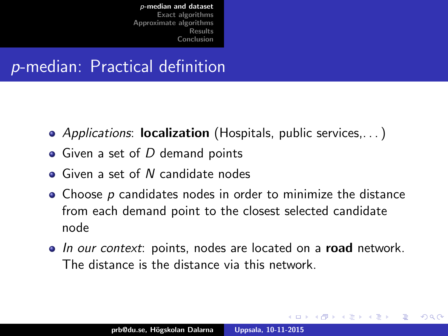## <span id="page-2-0"></span>p-median: Practical definition

- Applications: **localization** (Hospitals, public services, ...)
- $\bullet$  Given a set of D demand points
- Given a set of N candidate nodes
- $\bullet$  Choose  $p$  candidates nodes in order to minimize the distance from each demand point to the closest selected candidate node
- In our context: points, nodes are located on a road network. The distance is the distance via this network.

 $\mathcal{A}$   $\mathcal{A}$   $\mathcal{B}$   $\mathcal{A}$   $\mathcal{B}$   $\mathcal{B}$ 

へのへ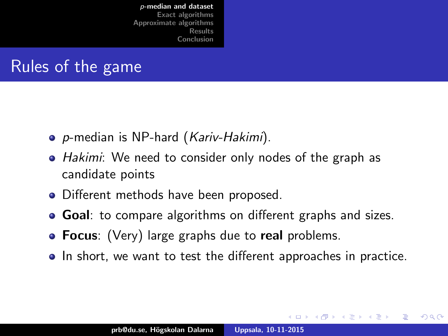## Rules of the game

- p-median is NP-hard (Kariv-Hakimi).
- Hakimi: We need to consider only nodes of the graph as candidate points
- Different methods have been proposed.
- **Goal:** to compare algorithms on different graphs and sizes.
- Focus: (Very) large graphs due to real problems.
- In short, we want to test the different approaches in practice.

 $4.17 \times$ 

 $\left\{ \begin{array}{ccc} \mathbf{a} & \mathbf{b} & \mathbf{c} & \mathbf{c} \end{array} \right.$ 

へのへ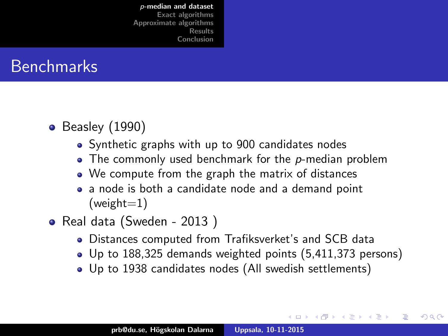

- $\bullet$  Beasley (1990)
	- Synthetic graphs with up to 900 candidates nodes
	- $\bullet$  The commonly used benchmark for the p-median problem
	- We compute from the graph the matrix of distances
	- a node is both a candidate node and a demand point  $(weight=1)$
- Real data (Sweden 2013)
	- Distances computed from Trafiksverket's and SCB data
	- Up to 188,325 demands weighted points (5,411,373 persons)

 $4.17 \times$ 

→ 伊 ▶ → 唐 ▶

へのへ

Up to 1938 candidates nodes (All swedish settlements)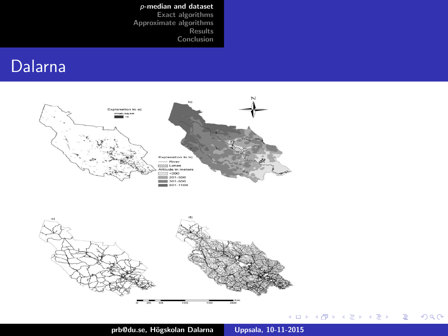#### Dalarna



 $290$ 

È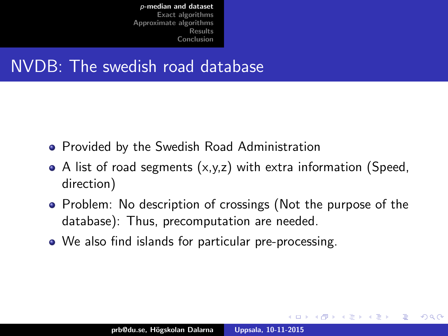### NVDB: The swedish road database

- **Provided by the Swedish Road Administration**
- $\bullet$  A list of road segments  $(x,y,z)$  with extra information (Speed, direction)
- Problem: No description of crossings (Not the purpose of the database): Thus, precomputation are needed.

 $\left\{ \begin{array}{ccc} \mathbf{a} & \mathbf{b} & \mathbf{c} & \mathbf{c} \end{array} \right.$ 

つくい

• We also find islands for particular pre-processing.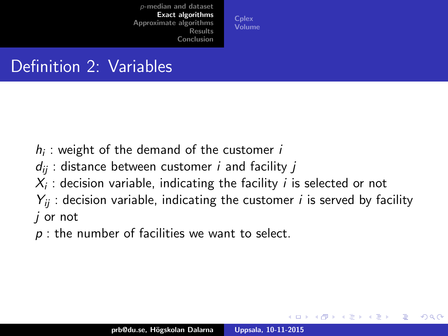**[Cplex](#page-9-0)** [Volume](#page-11-0)

## <span id="page-7-0"></span>Definition 2: Variables

- $h_i$ : weight of the demand of the customer  $i$
- $d_{ii}$ : distance between customer *i* and facility *j*
- $\mathcal{X}_i$  : decision variable, indicating the facility  $i$  is selected or not
- $Y_{ii}$ : decision variable, indicating the customer *i* is served by facility j or not
- $p$ : the number of facilities we want to select.

 $4.17 \times$ 

4 桐 ト 4 戸 ト

へのへ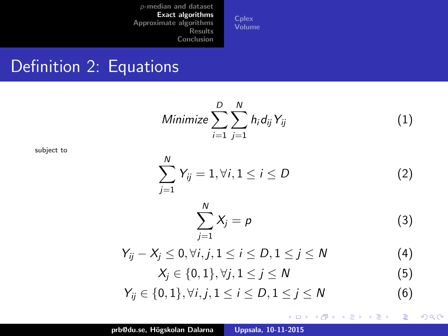N

**[Cplex](#page-9-0)** [Volume](#page-11-0)

#### Definition 2: Equations

Minimize $\sum_{n=1}^{D}$  $i=1$  $\sum_{\lambda}^{N}$ j=1  $h_i d_{ij} Y_{ij}$  (1)

subject to

$$
\sum_{j=1}^{N} Y_{ij} = 1, \forall i, 1 \leq i \leq D \tag{2}
$$

$$
\sum_{j=1}^{N} X_j = p \tag{3}
$$

イロト イ部 トイヨ トイヨト

重

 $299$ 

$$
Y_{ij} - X_j \le 0, \forall i, j, 1 \le i \le D, 1 \le j \le N
$$
\n
$$
(4)
$$
\n
$$
Y_{ij} = \{0, 1\} \setminus \{i, 1 \le i \le N\}
$$

$$
X_j \in \{0,1\}, \forall j, 1 \leq j \leq N \tag{5}
$$

$$
Y_{ij} \in \{0,1\}, \forall i, j, 1 \le i \le D, 1 \le j \le N \tag{6}
$$

 $\ddot{\phantom{a}}$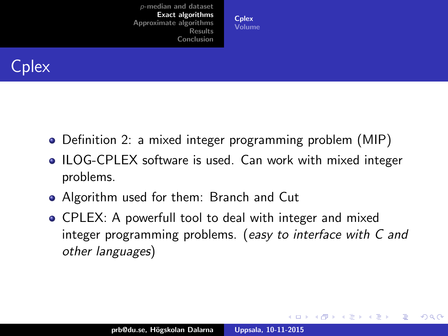**[Cplex](#page-9-0)** [Volume](#page-11-0)

<span id="page-9-0"></span>

- Definition 2: a mixed integer programming problem (MIP)
- ILOG-CPLEX software is used. Can work with mixed integer problems.
- Algorithm used for them: Branch and Cut
- CPLEX: A powerfull tool to deal with integer and mixed integer programming problems. (easy to interface with C and other languages)

**K ロ ト K 倒 ト K ミ ト** 

 $2Q$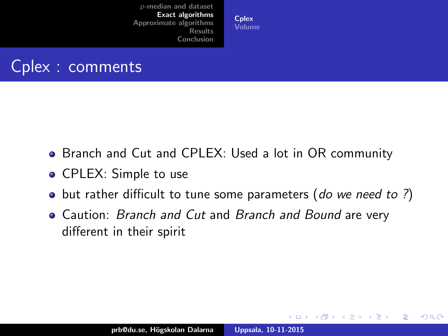**[Cplex](#page-9-0)** [Volume](#page-11-0)



- Branch and Cut and CPLEX: Used a lot in OR community
- CPLEX: Simple to use
- but rather difficult to tune some parameters (do we need to ?)
- Caution: *Branch and Cut* and *Branch and Bound* are very different in their spirit

 $2Q$ 

**∢ ロ ▶ : ⊀ 母 ▶ : ∢ ヨ ▶**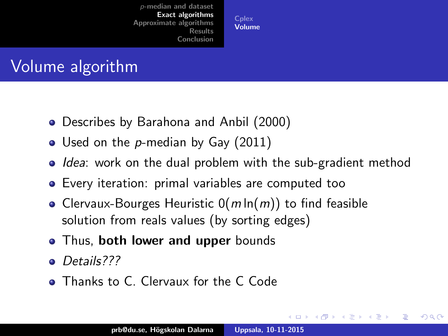**[Cplex](#page-9-0)** [Volume](#page-11-0)

# <span id="page-11-0"></span>Volume algorithm

- Describes by Barahona and Anbil (2000)
- Used on the p-median by Gay (2011)
- Idea: work on the dual problem with the sub-gradient method
- Every iteration: primal variables are computed too
- Clervaux-Bourges Heuristic  $O(m \ln(m))$  to find feasible solution from reals values (by sorting edges)
- Thus, both lower and upper bounds
- Details???
- **Thanks to C. Clervaux for the C Code**

 $4.17 \times$ 

 $\mathcal{A} \cap \mathcal{B} \longrightarrow \mathcal{A} \subset \mathcal{B} \longrightarrow$ 

つくい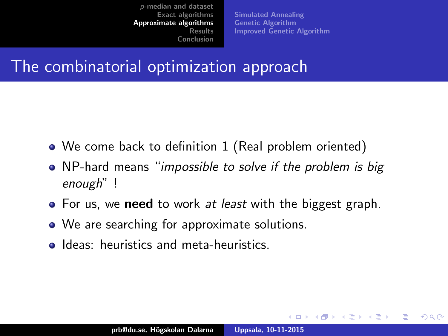[Simulated Annealing](#page-13-0) [Genetic Algorithm](#page-14-0) [Improved Genetic Algorithm](#page-16-0)

 $4.17 \times$ 

 $\overline{AB}$   $\overline{B}$   $\overline{C}$ 

へのへ

### <span id="page-12-0"></span>The combinatorial optimization approach

- We come back to definition 1 (Real problem oriented)
- NP-hard means "impossible to solve if the problem is big enough" !
- For us, we need to work at least with the biggest graph.
- We are searching for approximate solutions.
- **Ideas:** heuristics and meta-heuristics.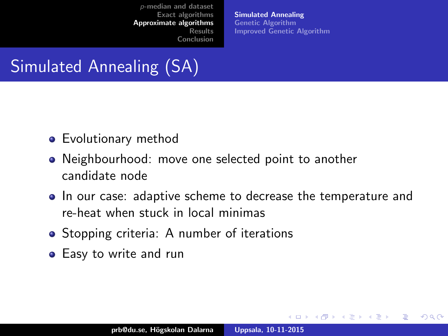[Simulated Annealing](#page-13-0) [Genetic Algorithm](#page-14-0) [Improved Genetic Algorithm](#page-16-0)

**K ロ ⊁ K 伊 ⊁ K 店** 

へのへ

# <span id="page-13-0"></span>Simulated Annealing (SA)

- **•** Evolutionary method
- Neighbourhood: move one selected point to another candidate node
- In our case: adaptive scheme to decrease the temperature and re-heat when stuck in local minimas
- Stopping criteria: A number of iterations
- Easy to write and run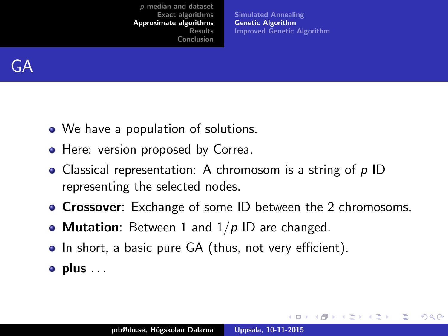[Simulated Annealing](#page-13-0) [Genetic Algorithm](#page-14-0) [Improved Genetic Algorithm](#page-16-0)

メロメ メ御 メメ ミメ メミメ

 $2Q$ 

<span id="page-14-0"></span>

- We have a population of solutions.
- Here: version proposed by Correa.
- Classical representation: A chromosom is a string of  $p$  ID representing the selected nodes.
- **Crossover**: Exchange of some ID between the 2 chromosoms.
- Mutation: Between 1 and  $1/p$  ID are changed.
- In short, a basic pure GA (thus, not very efficient).
- $\bullet$  plus  $\ldots$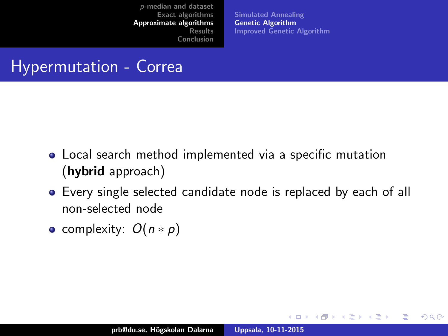[Simulated Annealing](#page-13-0) [Genetic Algorithm](#page-14-0) [Improved Genetic Algorithm](#page-16-0)

**K ロ ト K 倒 ト K 走 ト** 

 $2Q$ 

### Hypermutation - Correa

- Local search method implemented via a specific mutation (hybrid approach)
- Every single selected candidate node is replaced by each of all non-selected node
- complexity:  $O(n * p)$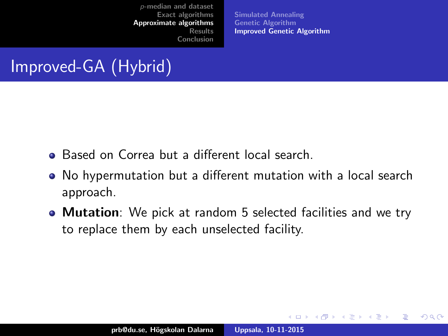[Simulated Annealing](#page-13-0) [Genetic Algorithm](#page-14-0) [Improved Genetic Algorithm](#page-16-0)

**K ロ ト K 倒 ト K 走 ト** 

 $\Omega$ 

# <span id="page-16-0"></span>Improved-GA (Hybrid)

- **•** Based on Correa but a different local search.
- No hypermutation but a different mutation with a local search approach.
- **Mutation**: We pick at random 5 selected facilities and we try to replace them by each unselected facility.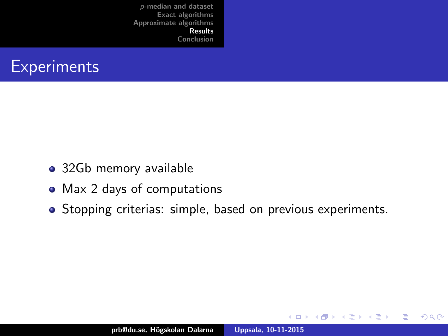<span id="page-17-0"></span>

- 32Gb memory available
- Max 2 days of computations
- Stopping criterias: simple, based on previous experiments.

 $\leftarrow$   $\Box$ 

→ 伊 ▶ → 臣

**IN** 重  $2Q$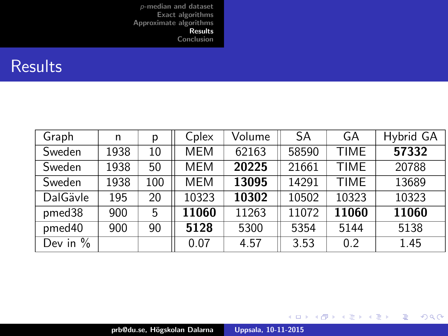#### **Results**

| Graph      | n    | р   | Cplex      | Volume | SA    | GA          | Hybrid GA |
|------------|------|-----|------------|--------|-------|-------------|-----------|
| Sweden     | 1938 | 10  | MEM        | 62163  | 58590 | <b>TIME</b> | 57332     |
| Sweden     | 1938 | 50  | <b>MEM</b> | 20225  | 21661 | <b>TIME</b> | 20788     |
| Sweden     | 1938 | 100 | <b>MEM</b> | 13095  | 14291 | <b>TIME</b> | 13689     |
| DalGävle   | 195  | 20  | 10323      | 10302  | 10502 | 10323       | 10323     |
| pmed38     | 900  | 5   | 11060      | 11263  | 11072 | 11060       | 11060     |
| pmed40     | 900  | 90  | 5128       | 5300   | 5354  | 5144        | 5138      |
| Dev in $%$ |      |     | 0.07       | 4.57   | 3.53  | 0.2         | 1.45      |

メロメ メ都 メメ きょくきょう

重

 $299$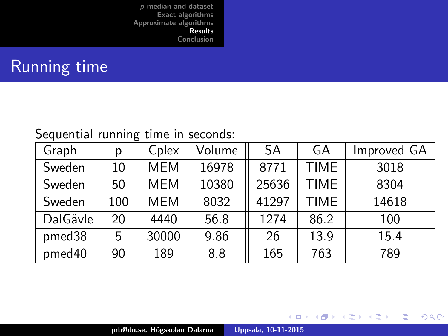# Running time

#### Sequential running time in seconds:

| Graph    | р   | Cplex      | Volume | <b>SA</b> | GA          | Improved GA |
|----------|-----|------------|--------|-----------|-------------|-------------|
| Sweden   | 10  | <b>MEM</b> | 16978  | 8771      | <b>TIME</b> | 3018        |
| Sweden   | 50  | <b>MEM</b> | 10380  | 25636     | <b>TIME</b> | 8304        |
| Sweden   | 100 | <b>MEM</b> | 8032   | 41297     | TIME        | 14618       |
| DalGävle | 20  | 4440       | 56.8   | 1274      | 86.2        | 100         |
| pmed38   | 5   | 30000      | 9.86   | 26        | 13.9        | 15.4        |
| pmed40   | 90  | 189        | 8.8    | 165       | 763         | 789         |

K ロ ⊁ K 倒 ≯ K ミ ⊁ K ミ ≯

重

 $298$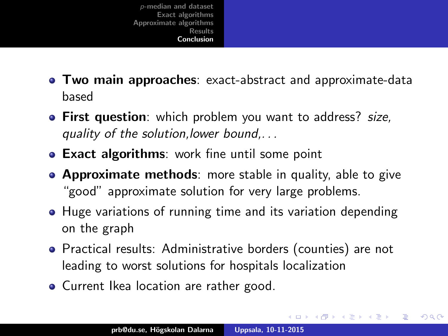- <span id="page-20-0"></span>**Two main approaches**: exact-abstract and approximate-data based
- **First question**: which problem you want to address? size, quality of the solution,lower bound,. . .
- **Exact algorithms:** work fine until some point
- **Approximate methods**: more stable in quality, able to give "good" approximate solution for very large problems.
- Huge variations of running time and its variation depending on the graph
- Practical results: Administrative borders (counties) are not leading to worst solutions for hospitals localization

メロメ メタメ メミメ メミ

つくい

• Current Ikea location are rather good.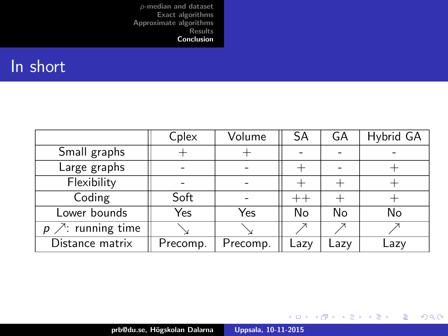#### In short

|                                | Cplex    | Volume   | SA      | GA   | Hybrid GA |
|--------------------------------|----------|----------|---------|------|-----------|
| Small graphs                   |          |          |         |      |           |
| Large graphs                   |          |          |         |      |           |
| Flexibility                    |          |          |         |      |           |
| Coding                         | Soft     |          | $_{++}$ |      |           |
| Lower bounds                   | Yes      | Yes      | No      | No   | No        |
| $\nearrow$ : running time<br>p |          |          |         |      |           |
| Distance matrix                | Precomp. | Precomp. | Lazv    | Lazy | Lazy      |

メロメ メ都 メメ きょくきょう

È

 $299$ 

prb@du.se, H¨ogskolan Dalarna [Uppsala, 10-11-2015](#page-0-0)